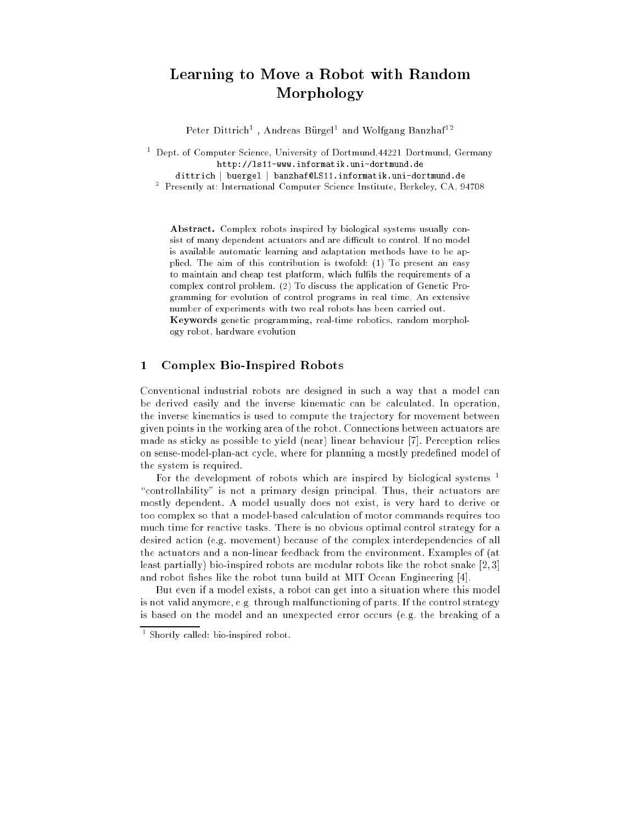# Learning to Move <sup>a</sup> Robot with Random Morphology

Peter Dittrich – Andreas Durgel and Wolfgang Danzhaf –

. Dept. of Computer Science, University of Dortmund,44221 Dortmund, Germany http://ls11-www.informatik.uni-dortmund.de

dittrich <sup>j</sup> buergel <sup>j</sup> banzhaf@LS11.informatik.uni-dortmund.de <sup>2</sup> Presently at: International Computer Science Institute, Berkeley, CA, 94708

Abstract. Complex robots inspired by biological systems usually consist of many dependent actuators and are difficult to control. If no model is available automatic learning and adaptation methods have to be applied. The aim of this contribution is twofold: (1) To present an easy to maintain and cheap test platform, which fulfils the requirements of a complex control problem. (2) To discuss the application of Genetic Programming for evolution of control programs in real time. An extensive number of experiments with two real robots has been carried out. Keywords genetic programming, real-time robotics, random morphol-

ogy robot, hardware evolution

#### 1Complex Bio-Inspired Robots

Conventional industrial robots are designed in such a way that a model can be derived easily and the inverse kinematic can be calculated. In operation, the inverse kinematics is used to compute the trajectory for movement between given points in the working area of the robot. Connections between actuators are made as sticky as possible to yield (near) linear behaviour [7]. Perception relies on sense-model-plan-act cycle, where for planning a mostly predefined model of the system is required.

For the development of robots which are inspired by biological systems <sup>1</sup> "controllability" is not a primary design principal. Thus, their actuators are mostly dependent. A model usually does not exist, is very hard to derive or too complex so that a model-based calculation of motor commands requires too much time for reactive tasks. There is no obvious optimal control strategy for a desired action (e.g. movement) because of the complex interdependencies of all the actuators and a non-linear feedback from the environment. Examples of (at least partially) bio-inspired robots are modular robots like the robot snake [2, 3] and robot fishes like the robot tuna build at MIT Ocean Engineering [4].

But even if a model exists, a robot can get into a situation where this model is not valid anymore, e.g. through malfunctioning of parts. If the control strategy is based on the model and an unexpected error occurs (e.g. the breaking of a

<sup>1</sup> Shortly called: bio-inspired robot.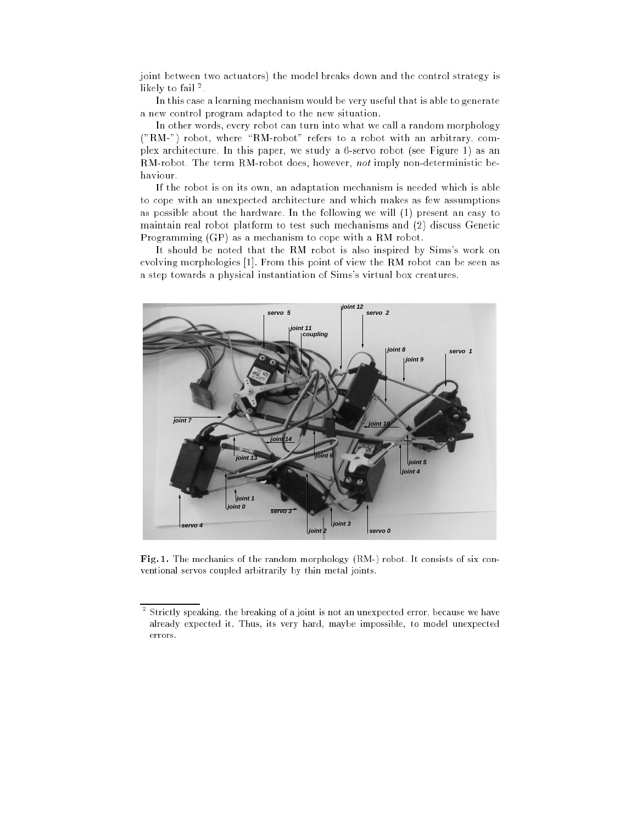joint between two actuators) the model breaks down and the control strategy is нкету то тап - .

In this case a learning mechanism would be very useful that is able to generate a new control program adapted to the new situation.

In other words, every robot can turn into what we call a random morphology  $("RM-")$  robot, where "RM-robot" refers to a robot with an arbitrary, complex architecture. In this paper, we study a 6-servo robot (see Figure 1) as an RM-robot. The term RM-robot does, however, not imply non-deterministic behaviour.

If the robot is on its own, an adaptation mechanism is needed which is able to cope with an unexpected architecture and which makes as few assumptions as possible about the hardware. In the following we will (1) present an easy to maintain real robot platform to test such mechanisms and (2) discuss Genetic Programming (GP) as a mechanism to cope with a RM robot.

It should be noted that the RM robot is also inspired by Sims's work on evolving morphologies [1]. From this point of view the RM robot can be seen as a step towards a physical instantiation of Sims's virtual box creatures.



Fig. 1. The mechanics of the random morphology (RM-) robot. It consists of six conventional servos coupled arbitrarily by thin metal joints.

Strictly speaking. the breaking of a joint is not an unexpected error, because we have already expected it. Thus, its very hard, maybe impossible, to model unexpected errors.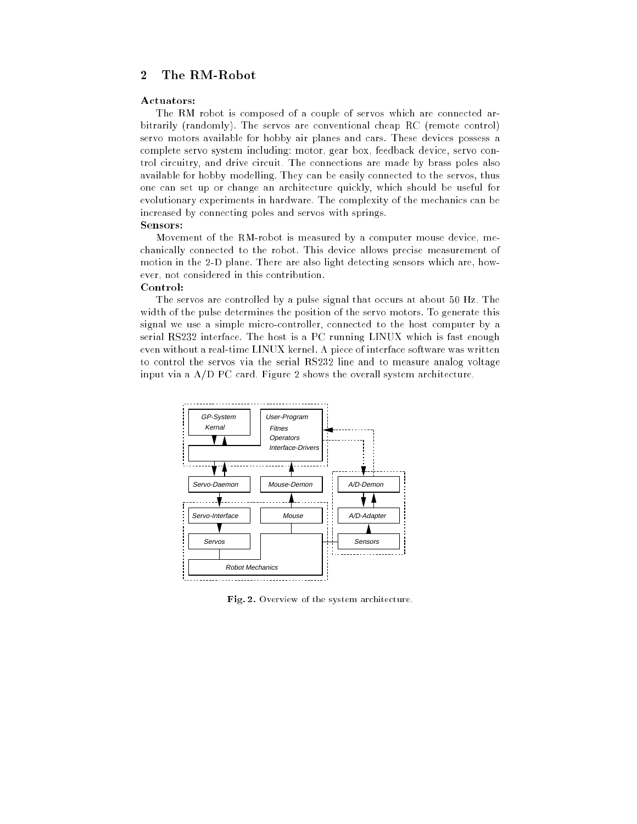#### 2The RM-Robot

#### Actuators:

The RM robot is composed of a couple of servos which are connected arbitrarily (randomly). The servos are conventional cheap RC (remote control) servo motors available for hobby air planes and cars. These devices possess a complete servo system including: motor, gear box, feedback device, servo control circuitry, and drive circuit. The connections are made by brass poles also available for hobby modelling. They can be easily connected to the servos, thus one can set up or change an architecture quickly, which should be useful for evolutionary experiments in hardware. The complexity of the mechanics can be increased by connecting poles and servos with springs. Sensors:

Movement of the RM-robot is measured by a computer mouse device, mechanically connected to the robot. This device allows precise measurement of motion in the 2-D plane. There are also light detecting sensors which are, however, not considered in this contribution.

## Control:

The servos are controlled by a pulse signal that occurs at about 50 Hz. The width of the pulse determines the position of the servo motors. To generate this signal we use a simple micro-controller, connected to the host computer by a serial RS232 interface. The host is a PC running LINUX which is fast enough even without a real-time LINUX kernel. A piece of interface software was written to control the servos via the serial RS232 line and to measure analog voltage input via a A/D PC card. Figure 2 shows the overall system architecture.



Fig. 2. Overview of the system architecture.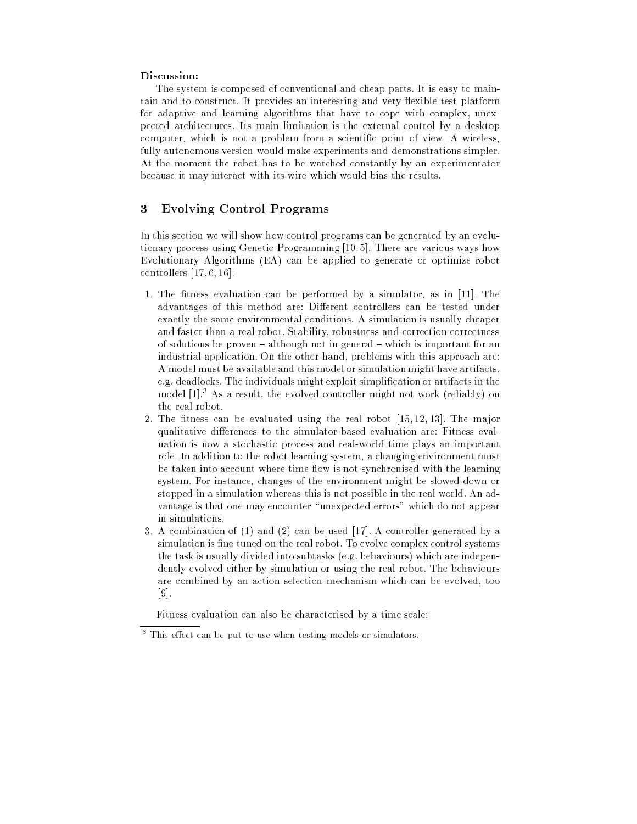### Discussion:

The system is composed of conventional and cheap parts. It is easy to maintain and to construct. It provides an interesting and very flexible test platform for adaptive and learning algorithms that have to cope with complex, unexpected architectures. Its main limitation is the external control by a desktop computer, which is not a problem from a scientic point of view. A wireless, fully autonomous version would make experiments and demonstrations simpler. At the moment the robot has to be watched constantly by an experimentator because it may interact with its wire which would bias the results.

#### 3Evolving Control Programs

In this section we will show how control programs can be generated by an evolutionary process using Genetic Programming [10, 5]. There are various ways how Evolutionary Algorithms (EA) can be applied to generate or optimize robot controllers  $[17, 6, 16]$ :

- 1. The fitness evaluation can be performed by a simulator, as in  $[11]$ . The advantages of this method are: Different controllers can be tested under exactly the same environmental conditions. A simulation is usually cheaper and faster than a real robot. Stability, robustness and correction correctness of solutions be proven  $-$  although not in general  $-$  which is important for an industrial application. On the other hand, problems with this approach are: A model must be available and this model or simulation might have artifacts, e.g. deadlocks. The individuals might exploit simplication or artifacts in the model [1].<sup>3</sup> As a result, the evolved controller might not work (reliably) on the real robot.
- 2. The fitness can be evaluated using the real robot  $[15, 12, 13]$ . The major qualitative differences to the simulator-based evaluation are: Fitness evaluation is now a stochastic process and real-world time plays an important role. In addition to the robot learning system, a changing environment must be taken into account where time flow is not synchronised with the learning system. For instance, changes of the environment might be slowed-down or stopped in a simulation whereas this is not possible in the real world. An advantage is that one may encounter "unexpected errors" which do not appear in simulations.
- 3. A combination of (1) and (2) can be used [17]. A controller generated by a simulation is fine tuned on the real robot. To evolve complex control systems the task is usually divided into subtasks (e.g. behaviours) which are independently evolved either by simulation or using the real robot. The behaviours are combined by an action selection mechanism which can be evolved, too [9].

Fitness evaluation can also be characterised by a time scale:

This effect can be put to use when testing models or simulators.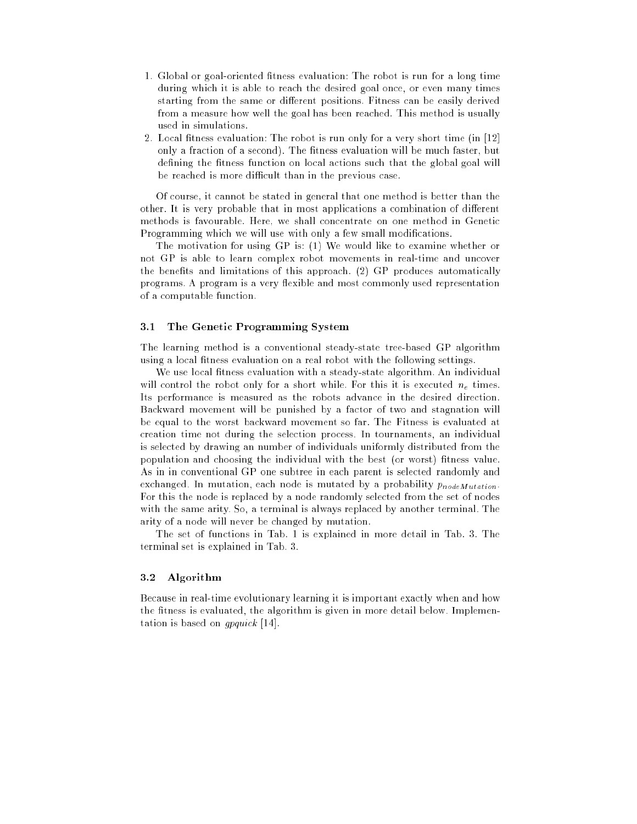- 1. Global or goal-oriented fitness evaluation: The robot is run for a long time during which it is able to reach the desired goal once, or even many times starting from the same or different positions. Fitness can be easily derived from a measure how well the goal has been reached. This method is usually used in simulations.
- 2. Local fitness evaluation: The robot is run only for a very short time (in  $[12]$ ) only a fraction of a second). The fitness evaluation will be much faster, but defining the fitness function on local actions such that the global goal will be reached is more difficult than in the previous case.

Of course, it cannot be stated in general that one method is better than the other. It is very probable that in most applications a combination of different methods is favourable. Here, we shall concentrate on one method in Genetic Programming which we will use with only a few small modifications.

The motivation for using GP is: (1) We would like to examine whether or not GP is able to learn complex robot movements in real-time and uncover the benefits and limitations of this approach.  $(2)$  GP produces automatically programs. A program is a very flexible and most commonly used representation of a computable function.

## 3.1 The Genetic Programming System

The learning method is a conventional steady-state tree-based GP algorithm using a local fitness evaluation on a real robot with the following settings.

We use local fitness evaluation with a steady-state algorithm. An individual will control the robot only for a short while. For this it is executed  $n_e$  times. Its performance is measured as the robots advance in the desired direction. Backward movement will be punished by a factor of two and stagnation will be equal to the worst backward movement so far. The Fitness is evaluated at creation time not during the selection process. In tournaments, an individual is selected by drawing an number of individuals uniformly distributed from the population and choosing the individual with the best (or worst) fitness value. As in in conventional GP one subtree in each parent is selected randomly and exchanged. In mutation, each node is mutated by a probability  $p_{nodeMutation}$ . For this the node is replaced by a node randomly selected from the set of nodes with the same arity. So, a terminal is always replaced by another terminal. The arity of a node will never be changed by mutation.

The set of functions in Tab. 1 is explained in more detail in Tab. 3. The terminal set is explained in Tab. 3.

#### 3.2 Algorithm

Because in real-time evolutionary learning it is important exactly when and how the fitness is evaluated, the algorithm is given in more detail below. Implementation is based on gpquick [14].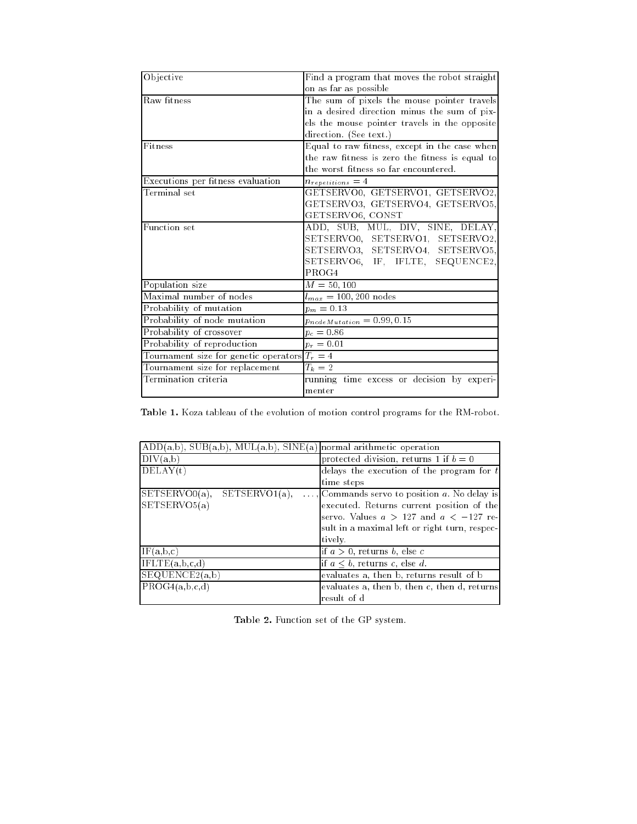| Objective                                       | Find a program that moves the robot straight    |  |  |  |  |
|-------------------------------------------------|-------------------------------------------------|--|--|--|--|
|                                                 | on as far as possible                           |  |  |  |  |
| Raw fitness                                     | The sum of pixels the mouse pointer travels     |  |  |  |  |
|                                                 |                                                 |  |  |  |  |
|                                                 | in a desired direction minus the sum of pix-    |  |  |  |  |
|                                                 | els the mouse pointer travels in the opposite   |  |  |  |  |
|                                                 | direction. (See text.)                          |  |  |  |  |
| $\overline{\text{Fitness}}$                     | Equal to raw fitness, except in the case when   |  |  |  |  |
|                                                 | the raw fitness is zero the fitness is equal to |  |  |  |  |
|                                                 | the worst fitness so far encountered.           |  |  |  |  |
| Executions per fitness evaluation               | $n_{repetitions}=4$                             |  |  |  |  |
| Terminal set                                    | GETSERVO0, GETSERVO1, GETSERVO2,                |  |  |  |  |
|                                                 | GETSERVO3, GETSERVO4, GETSERVO5,                |  |  |  |  |
|                                                 | GETSERVO6, CONST                                |  |  |  |  |
| Function set                                    | ADD, SUB, MUL, DIV, SINE, DELAY,                |  |  |  |  |
|                                                 | SETSERVO0, SETSERVO1, SETSERVO2,                |  |  |  |  |
|                                                 | SETSERVO3, SETSERVO4, SETSERVO5,                |  |  |  |  |
|                                                 | SETSERVO6, IF, IFLTE, SEQUENCE2,                |  |  |  |  |
|                                                 | PROG4                                           |  |  |  |  |
| Population size                                 | $M = 50, 100$                                   |  |  |  |  |
| Maximal number of nodes                         | $l_{max} = 100, 200 \text{ nodes}$              |  |  |  |  |
| Probability of mutation                         | $p_m = 0.13$                                    |  |  |  |  |
| Probability of node mutation                    | $p_{nodeMutation} = 0.99, 0.15$                 |  |  |  |  |
| Probability of crossover                        | $p_c = 0.86$                                    |  |  |  |  |
| Probability of reproduction                     | $p_r = 0.01$                                    |  |  |  |  |
| Tournament size for genetic operators $T_r = 4$ |                                                 |  |  |  |  |
| Tournament size for replacement                 | $T_k=2$                                         |  |  |  |  |
| Termination criteria                            | running time excess or decision by experi-      |  |  |  |  |
|                                                 | menter                                          |  |  |  |  |

Table 1. Koza tableau of the evolution of motion control programs for the RM-robot.

| $ADD(a,b)$ , $SUB(a,b)$ , $MUL(a,b)$ , $SINE(a)$ normal arithmetic operation |                                               |
|------------------------------------------------------------------------------|-----------------------------------------------|
| $\overline{\mathrm{DI}}V(a,b)$                                               | protected division, returns 1 if $b=0$        |
| DELAY(t)                                                                     | delays the execution of the program for $t$   |
|                                                                              | time steps                                    |
| $SETSERVO0(a)$ ,<br>$SETSERVO1(a)$ .                                         | , Commands servo to position a. No delay is   |
| SETSERVO5(a)                                                                 | executed. Returns current position of the     |
|                                                                              | servo. Values $a > 127$ and $a < -127$ re-    |
|                                                                              | sult in a maximal left or right turn, respec- |
|                                                                              | tively.                                       |
| IF(a, b, c)                                                                  | if $a > 0$ , returns b, else c                |
| $\overline{\text{IFLTE}}(a, b, c, d)$                                        | if $a \leq b$ , returns c, else d.            |
| SEQUENCE2(a,b)                                                               | evaluates a, then b, returns result of b      |
| PROG4(a,b,c,d)                                                               | evaluates a, then b, then c, then d, returns  |
|                                                                              | result of d                                   |

Table 2. Function set of the GP system.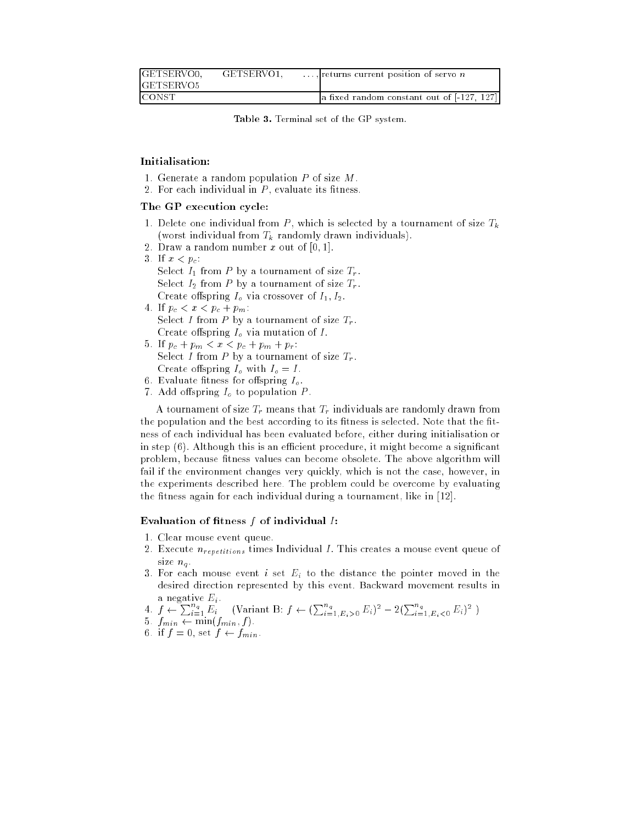| GETSERVO0,       | GETSERVO1. | $\dots$ , returns current position of servo <i>n</i> |
|------------------|------------|------------------------------------------------------|
| <b>GETSERVO5</b> |            |                                                      |
| <b>CONST</b>     |            | a fixed random constant out of [-127, 127]           |

Table 3. Terminal set of the GP system.

# Initialisation:

- 1. Generate a random population  $P$  of size  $M$ .
- 2. For each individual in  $P$ , evaluate its fitness.

# The GP execution cycle:

- 1. Delete one individual from  $P$ , which is selected by a tournament of size  $T_k$ (worst individual from  $T_k$  randomly drawn individuals).
- 2. Draw a random number x out of  $[0, 1]$ .
- 3. If  $x < p_c$ : Select  $I_1$  from P by a tournament of size  $T_r$ . Select  $I_2$  from P by a tournament of size  $T_r$ . Create offspring  $I_0$  via crossover of  $I_1, I_2$ .
- 4. If  $p_c < x < p_c + p_m$ : Select I from P by a tournament of size  $T_r$ . Create offspring  $I<sub>o</sub>$  via mutation of I.
- 5. If  $p_c + p_m < x < p_c + p_m + p_r$ : Select I from P by a tournament of size  $T_r$ . Create offspring  $I_o$  with  $I_o = I$ .
- 6. Evaluate fitness for offspring  $I<sub>o</sub>$ .
- 7. Add offspring  $I<sub>o</sub>$  to population P.

A tournament of size  $T_r$  means that  $T_r$  individuals are randomly drawn from the population and the best according to its fitness is selected. Note that the fitness of each individual has been evaluated before, either during initialisation or in step  $(6)$ . Although this is an efficient procedure, it might become a significant problem, because fitness values can become obsolete. The above algorithm will fail if the environment changes very quickly, which is not the case, however, in the experiments described here. The problem could be overcome by evaluating the fitness again for each individual during a tournament, like in [12].

# Evaluation of fitness  $f$  of individual  $I$ :

- 1. Clear mouse event queue.
- 2. Execute  $n_{repetitions}$  times Individual I. This creates a mouse event queue of size  $n_q$ .
- 3. For each mouse event i set  $E_i$  to the distance the pointer moved in the desired direction represented by this event. Backward movement results in a negative  $E_i$ .

4.  $f \leftarrow \sum_{i=1}^{n_q} E_i$  (Variant B:  $f \leftarrow (\sum_{i=1}^{n_q} E_i > 0} E_i)^2 - 2(\sum_{i=1}^{n_q} E_i < 0} E_i)^2$ )

- 5.  $f_{min} \leftarrow \min(f_{min}, f)$ .
- 6. if  $f = 0$ , set  $f \leftarrow f_{min}$ .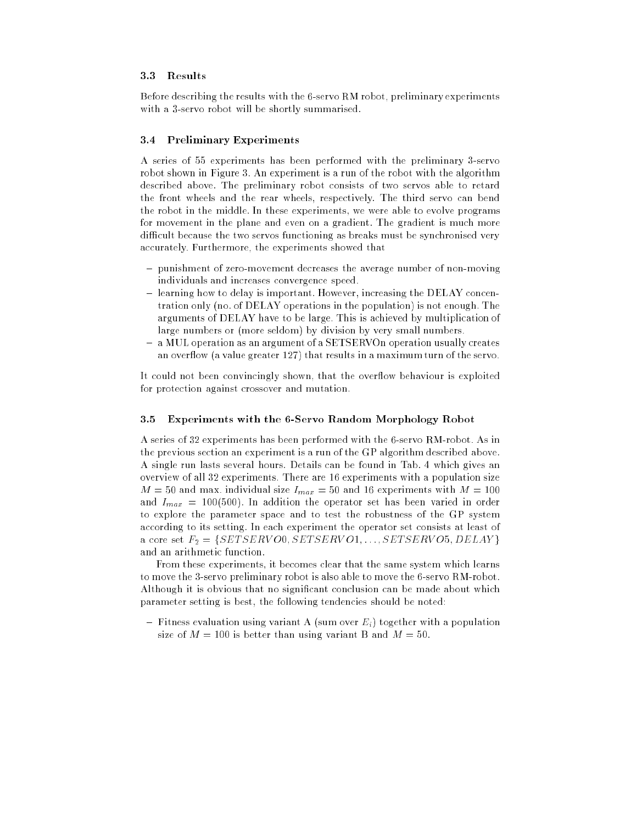## 3.3 Results

Before describing the results with the 6-servo RM robot, preliminary experiments with a 3-servo robot will be shortly summarised.

### 3.4 Preliminary Experiments

A series of 55 experiments has been performed with the preliminary 3-servo robot shown in Figure 3. An experiment is a run of the robot with the algorithm described above. The preliminary robot consists of two servos able to retard the front wheels and the rear wheels, respectively. The third servo can bend the robot in the middle. In these experiments, we were able to evolve programs for movement in the plane and even on a gradient. The gradient is much more difficult because the two servos functioning as breaks must be synchronised very accurately. Furthermore, the experiments showed that

- { punishment of zero-movement decreases the average number of non-moving individuals and increases convergence speed.
- ${\rm -}$  learning how to delay is important. However, increasing the DELAY concentration only (no. of DELAY operations in the population) is not enough. The arguments of DELAY have to be large. This is achieved by multiplication of large numbers or (more seldom) by division by very small numbers.
- ${ \text{ a } MUL}$  operation as an argument of a SETSERVOn operation usually creates an overflow (a value greater 127) that results in a maximum turn of the servo.

It could not been convincingly shown, that the overflow behaviour is exploited for protection against crossover and mutation.

#### 3.5 Experiments with the 6-Servo Random Morphology Robot

A series of 32 experiments has been performed with the 6-servo RM-robot. As in the previous section an experiment is a run of the GP algorithm described above. A single run lasts several hours. Details can be found in Tab. 4 which gives an overview of all 32 experiments. There are 16 experiments with a population size  $M = 50$  and max. individual size  $I_{max} = 50$  and 16 experiments with  $M = 100$ and  $I_{max} = 100(500)$ . In addition the operator set has been varied in order to explore the parameter space and to test the robustness of the GP system according to its setting. In each experiment the operator set consists at least of a core set  $F_2 = \{SETSERVO0, SETSERVO1, \ldots, SETSERVO5, DELAY\}$ and an arithmetic function.

From these experiments, it becomes clear that the same system which learns to move the 3-servo preliminary robot is also able to move the 6-servo RM-robot. Although it is obvious that no signicant conclusion can be made about which parameter setting is best, the following tendencies should be noted:

 ${\rm -}$  Fitness evaluation using variant A (sum over  $E_i$ ) together with a population size of  $M = 100$  is better than using variant B and  $M = 50$ .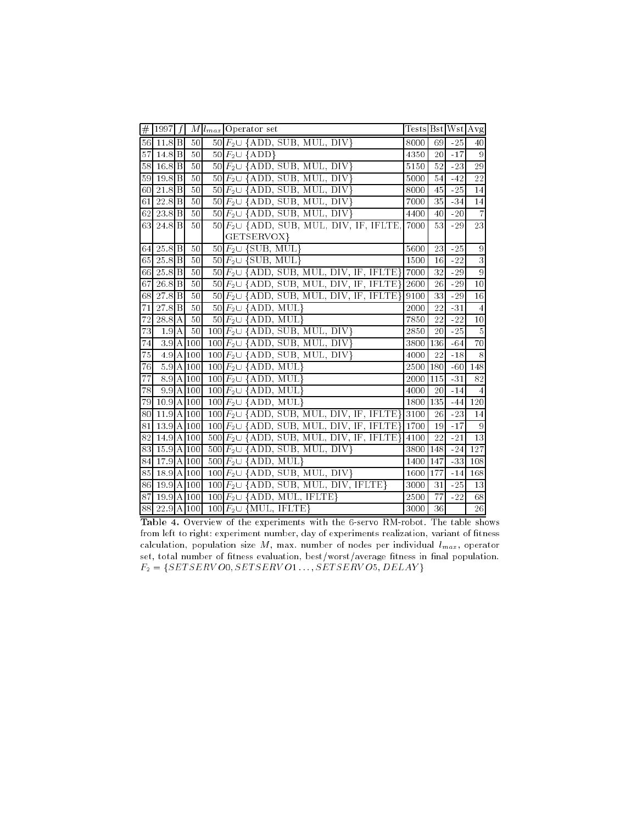| #               | 1997                |                 | $M l_{max} $ Operator set                                                                         | Tests Bst Wst Avg |      |       |                 |
|-----------------|---------------------|-----------------|---------------------------------------------------------------------------------------------------|-------------------|------|-------|-----------------|
|                 | 56 11.8 B           | 50              | $50 F_2 \cup \{\text{ADD}, \text{SUB}, \text{MUL}, \text{DIV}\}\$                                 | 8000              | 69   | $-25$ | 40              |
| 57              | $14.8$ $B$          | 50              | $50 F_2 \cup {\rm{ADD}}\}$                                                                        | 4350              | 20   | $-17$ | $\Omega$        |
|                 | 58 16.8 B           | 50              | $50 F_2 \cup \{\text{ADD}, \text{SUB}, \text{MUL}, \text{DIV}\}\$                                 | 5150              | 52   | $-23$ | 29              |
|                 | $59$ $19.8$ B       | 50              | $50 \overline{F_2 \cup \{\text{ADD}, \text{SUB}, \text{MUL}, \text{DIV}\}}$                       | 5000              | 54   | $-42$ | 22              |
| 60              | $21.8$ $B$          | 50              | $50 \ F_2 \cup \{ ADD, SUB, MUL, DIV\}$                                                           | 8000              | 45   | $-25$ | $\overline{14}$ |
| 61              | 22.8B               | 50              | $50 F_2 \cup \{ADD, SUB, MUL, DIV\}$                                                              | 7000              | 35   | $-34$ | 14              |
| 62              | $23.8$ B            | 50              | $50 \ F_2 \cup \{ ADD, SUB, MUL, DIV\}$                                                           | 4400              | 40   | $-20$ | $\overline{7}$  |
|                 | 63 24.8 B           | 50              | $50 F_2 \cup \{\text{ADD}, \text{SUB}, \text{MUL}, \text{DIV}, \text{IF}, \text{IFLTE}\}\$        | 7000              | 53   | $-29$ | 23              |
|                 |                     |                 | GETSERVOX}                                                                                        |                   |      |       |                 |
| 64              | $25.8$ B            | 50              | 50 $F_2 \cup \{SUB, MUL\}$                                                                        | 5600              | 23   | $-25$ | 9               |
| 65              | $25.8$ $B$          | 50              | $50F_2\cup$ {SUB, MUL}                                                                            | 1500              | 16   | $-22$ | $\overline{3}$  |
| 66              | 25.8 <sup>B</sup>   | 50              | $50 F_2 \cup \{\text{ADD}, \text{SUB}, \text{MUL}, \text{DIV}, \text{IF}, \text{IFLTE}\}\$        | 7000              | 32   | $-29$ | $\overline{9}$  |
| 67              | $26.8$ <sub>B</sub> | 50              | $50 F_2 \cup \{\text{ADD}, \text{SUB}, \text{MUL}, \text{DIV}, \text{IF}, \text{IFLTE}\}\$        | 2600              | 26   | $-29$ | 10              |
| 68              | $27.8$ B            | 50              | $50 F_2 \cup \{\text{ADD}, \text{SUB}, \text{MUL}, \text{DIV}, \text{IF}, \text{IFLTE}\}\$        | 9100              | 33   | -29   | $\overline{16}$ |
| 71              | $27.8\overline{B}$  | 50              | $50 F_2 \cup \{\text{ADD}, \text{MUL}\}\$                                                         | 2000              | 22   | -31   | 4               |
| $\overline{7}2$ | 28.8 A              | 50              | $50 \ F_2 \cup \{ADD, MUL\}$                                                                      | 7850              | 22   | $-22$ | 10              |
| 73              | 1.9A                | 50              | $100 \ F_2 \cup \{ ADD, SUB, MUL, DIV\}$                                                          | 2850              | 20   | $-25$ | $\overline{5}$  |
| 74              |                     | 3.9 A 100       | $100 \left  F_2 \cup \overline{\text{ADD}, \text{SUB}, \text{MUL}, \text{DIV} \right $            | 3800 136          |      | $-64$ | 70              |
| 75              |                     | $4.9$ A $100$   | $100 \ F_2 \cup \{ ADD, SUB, MUL, DIV\}$                                                          | 4000              | 22   | $-18$ | 8               |
| 76              |                     | $5.9$ A $ 100 $ | 100 $F_2 \cup \{\text{ADD}, \text{MUL}\}\$                                                        | 2500 180          |      | $-60$ | 148             |
| 77              |                     | 8.9A100         | $100 F2 \cup {\rm ADD, MUL}$                                                                      | 2000              | 1115 | $-31$ | 82              |
| 78              |                     | $9.9$ A 100     | $100 \overline{F_2 \cup {\rm{ADD, MUL}}}$                                                         | 4000              | 20   | $-14$ | $\overline{4}$  |
| 79              | $10.9$  A 100       |                 | $100 \ F_2 \cup \{ADD, MUL\}$                                                                     | 1800 135          |      | $-44$ | 120             |
| 80              | $11.9$  A 100       |                 | $100 \ F_2 \cup \{ADD, SUB, MUL, DIV, IF, IFLTE\}$                                                | 3100              | 26   | $-23$ | 14              |
| 81              | $13.9$ A $100$      |                 | $100 F2 \cup \{\text{ADD}, \text{SUB}, \text{MUL}, \text{DIV}, \text{IF}, \text{IFLTE}\}\$        | 1700              | 19   | $-17$ | 9               |
| 82              | 14.9 A 100          |                 | $500 \ F_2 \cup \ {\rm ADD}, \ {\rm SUB}, \ {\rm MUL}, \ {\rm DIV}, \ {\rm IF}, \ {\rm IFLTE} \}$ | 4100              | 22   | $-21$ | $\overline{13}$ |
| 83              | $15.9$ A $100$      |                 | $500 \ F_2 \cup \{ ADD, SUB, MUL, DIV\}$                                                          | 3800              | 148  | $-24$ | 127             |
| 84              | $17.9$ A $100$      |                 | 500 $F_2 \cup \{ADD, MUL\}$                                                                       | 1400              | 147  | $-33$ | 108             |
| 85              | $18.9$ A 100        |                 | $100 \ F_2 \cup \{ ADD, SUB, MUL, DIV\}$                                                          | 1600              | 177  | $-14$ | 168             |
| 86              | $19.9$ A 100        |                 | $100 \ F_2 \cup \{ ADD, SUB, MUL, DIV, IFLTE\}$                                                   | 3000              | 31   | $-25$ | 13              |
| 87              | $19.9$ A $100$      |                 | $100 \ F_2 \cup \{ ADD, MUL, IFLTE\}$                                                             | 2500              | 77   | $-22$ | 68              |
|                 | 88 22.9 A 100       |                 | $100 \ F_2 \cup \{MUL, IFLTE\}$                                                                   | 3000              | 36   |       | 26              |

Table 4. Overview of the experiments with the 6-servo RM-robot. The table shows from left to right: experiment number, day of experiments realization, variant of fitness calculation, population size  $M$ , max. number of nodes per individual  $l_{max}$ , operator set, total number of fitness evaluation, best/worst/average fitness in final population.  $F_2 = \{SETSERVO0, SETSERVO1\dots, SETSERVO5, DELAY\}$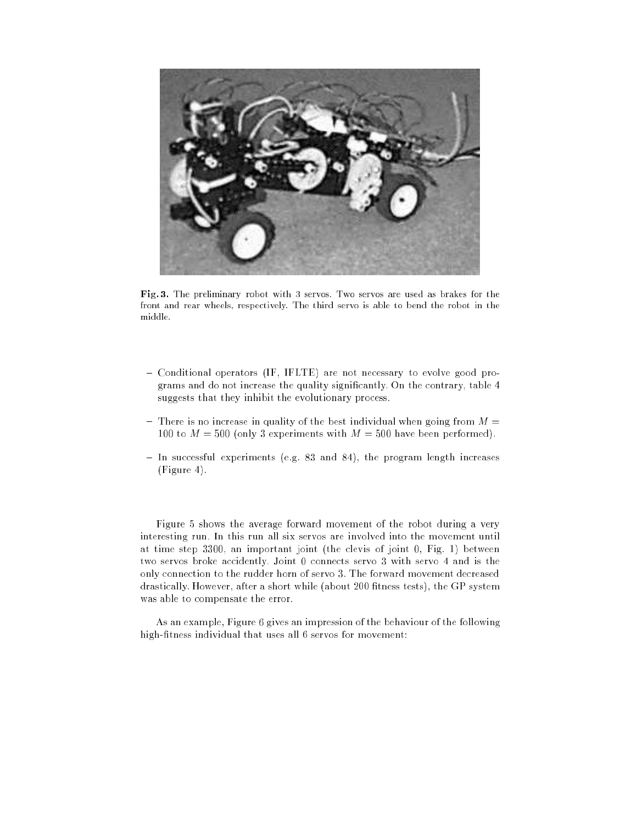

Fig. 3. The preliminary robot with 3 servos. Two servos are used as brakes for the front and rear wheels, respectively. The third servo is able to bend the robot in the middle.

- { Conditional operators (IF, IFLTE) are not necessary to evolve good programs and do not increase the quality signicantly. On the contrary, table 4 suggests that they inhibit the evolutionary process.
- There is no increase in quality of the best individual when going from  $M =$ 100 to  $M = 500$  (only 3 experiments with  $M = 500$  have been performed).
- $-$  In successful experiments (e.g. 83 and 84), the program length increases (Figure 4).

Figure 5 shows the average forward movement of the robot during a very interesting run. In this run all six servos are involved into the movement until at time step 3300, an important joint (the clevis of joint 0, Fig. 1) between two servos broke accidently. Joint 0 connects servo 3 with servo 4 and is the only connection to the rudder horn of servo 3. The forward movement decreased drastically. However, after a short while (about 200 fitness tests), the GP system was able to compensate the error.

As an example, Figure 6 gives an impression of the behaviour of the following high-fitness individual that uses all 6 servos for movement: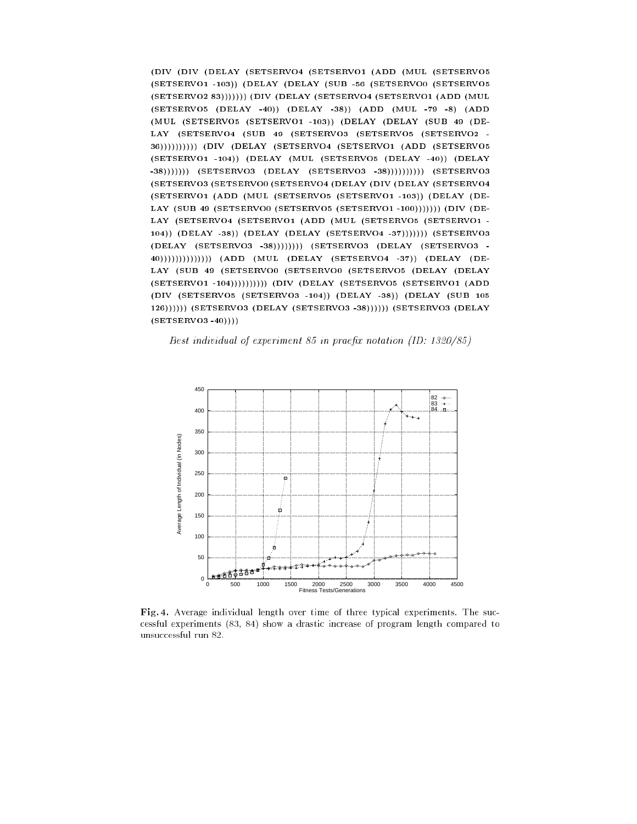(DIV (DIV (DELAY (SETSERVO4 (SETSERVO1 (ADD (MUL (SETSERVO5 (SETSERVO1 -103)) (DELAY (DELAY (SUB -56 (SETSERVO0 (SETSERVO5 (SETSERVO2 83))))))) (DIV (DELAY (SETSERVO4 (SETSERVO1 (ADD (MUL (SETSERVO5 (DELAY -40)) (DELAY -38)) (ADD (MUL -79 -8) (ADD (MUL (SETSERVO5 (SETSERVO1 -103)) (DELAY (DELAY (SUB <sup>49</sup> (DE-LAY (SETSERVO4 (SUB <sup>49</sup> (SETSERVO3 (SETSERVO5 (SETSERVO2 - 36)))))))))) (DIV (DELAY (SETSERVO4 (SETSERVO1 (ADD (SETSERVO5 (SETSERVO1 -104)) (DELAY (MUL (SETSERVO5 (DELAY -40)) (DELAY -38))))))) (SETSERVO3 (DELAY (SETSERVO3 -38)))))))))) (SETSERVO3 (SETSERVO3 (SETSERVO0 (SETSERVO4 (DELAY (DIV (DELAY (SETSERVO4 (SETSERVO1 (ADD (MUL (SETSERVO5 (SETSERVO1 -103)) (DELAY (DE-LAY (SUB 49 (SETSERVO0 (SETSERVO5 (SETSERVO1 -100))))))) (DIV (DE-LAY (SETSERVO4 (SETSERVO1 (ADD (MUL (SETSERVO5 (SETSERVO1 - 104)) (DELAY -38)) (DELAY (DELAY (SETSERVO4 -37))))))) (SETSERVO3 (DELAY (SETSERVO3 -38)))))))) (SETSERVO3 (DELAY (SETSERVO3 - 40)))))))))))))) (ADD (MUL (DELAY (SETSERVO4 -37)) (DELAY (DE-LAY (SUB <sup>49</sup> (SETSERVO0 (SETSERVO0 (SETSERVO5 (DELAY (DELAY (SETSERVO1 -104)))))))))) (DIV (DELAY (SETSERVO5 (SETSERVO1 (ADD (DIV (SETSERVO5 (SETSERVO3 -104)) (DELAY -38)) (DELAY (SUB <sup>105</sup> 126)))))) (SETSERVO3 (DELAY (SETSERVO3 -38)))))) (SETSERVO3 (DELAY  $(SETSERVO3 -40))))$ 

Best individual of experiment 85 in praex notation (ID: 1320/85)



Fig. 4. Average individual length over time of three typical experiments. The successful experiments (83, 84) show a drastic increase of program length compared to unsuccessful run 82.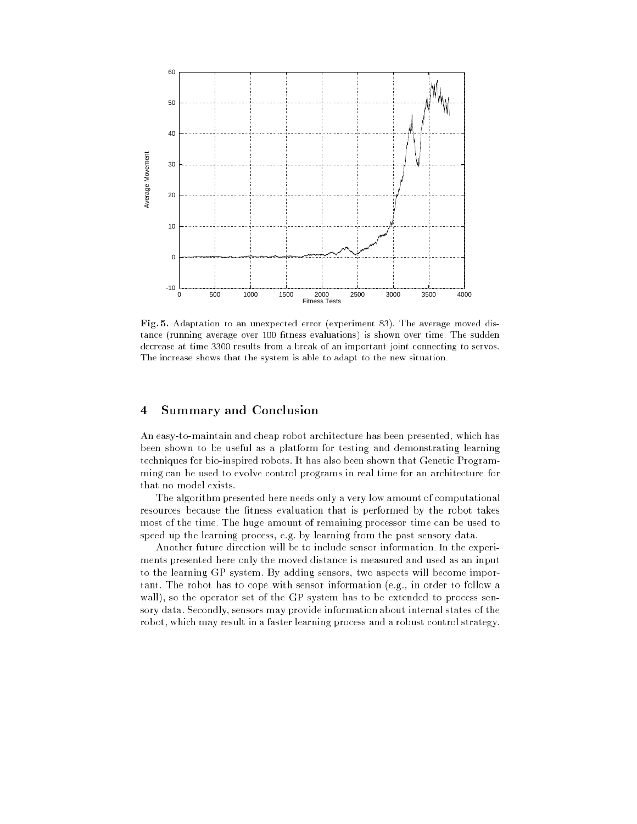

Fig. 5. Adaptation to an unexpected error (experiment 83). The average moved distance (running average over 100 fitness evaluations) is shown over time. The sudden decrease at time 3300 results from a break of an important joint connecting to servos. The increase shows that the system is able to adapt to the new situation.

#### 4Summary and Conclusion

An easy-to-maintain and cheap robot architecture has been presented, which has been shown to be useful as a platform for testing and demonstrating learning techniques for bio-inspired robots. It has also been shown that Genetic Programming can be used to evolve control programs in real time for an architecture for that no model exists.

The algorithm presented here needs only a very low amount of computational resources because the fitness evaluation that is performed by the robot takes most of the time. The huge amount of remaining processor time can be used to speed up the learning process, e.g. by learning from the past sensory data.

Another future direction will be to include sensor information. In the experiments presented here only the moved distance is measured and used as an input to the learning GP system. By adding sensors, two aspects will become important. The robot has to cope with sensor information (e.g., in order to follow a wall), so the operator set of the GP system has to be extended to process sensory data. Secondly, sensors may provide information about internal states of the robot, which may result in a faster learning process and a robust control strategy.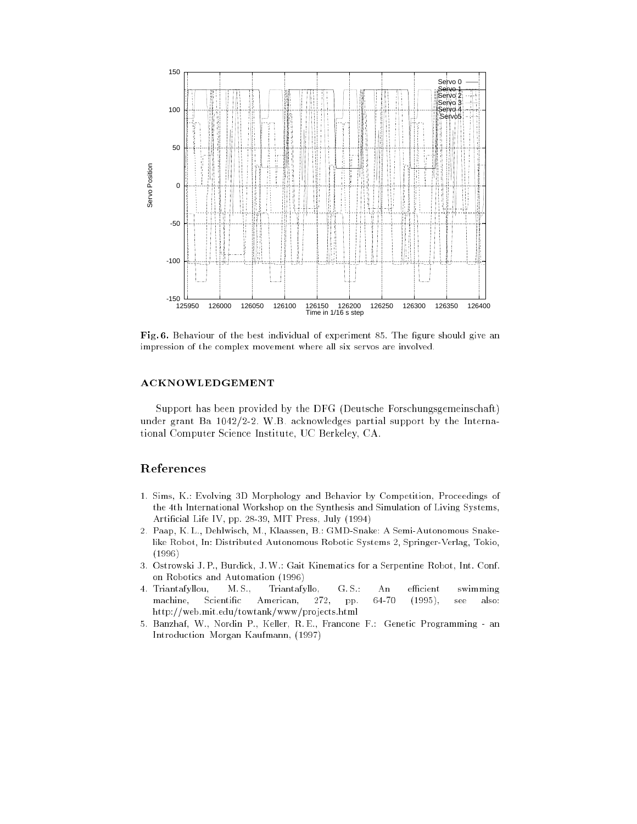

Fig. 6. Behaviour of the best individual of experiment 85. The figure should give an impression of the complex movement where all six servos are involved.

# ACKNOWLEDGEMENT

Support has been provided by the DFG (Deutsche Forschungsgemeinschaft) under grant Ba 1042/2-2. W.B. acknowledges partial support by the International Computer Science Institute, UC Berkeley, CA.

# References

- 1. Sims, K.: Evolving 3D Morphology and Behavior by Competition, Proceedings of the 4th International Workshop on the Synthesis and Simulation of Living Systems, Articial Life IV, pp. 28-39, MIT Press, July (1994)
- 2. Paap, K. L., Dehlwisch, M., Klaassen, B.: GMD-Snake: A Semi-Autonomous Snakelike Robot, In: Distributed Autonomous Robotic Systems 2, Springer-Verlag, Tokio, (1996)
- 3. Ostrowski J. P., Burdick, J.W.: Gait Kinematics for a Serpentine Robot, Int. Conf. on Robotics and Automation (1996)
- 4. Triantafyllou, M.S., Triantafyllo, G.S.: An efficient swimming machine, Scientific American, 272, pp. 64-70 (1995), see also: http://web.mit.edu/towtank/www/projects.html
- 5. Banzhaf, W., Nordin P., Keller, R. E., Francone F.: Genetic Programming an Introduction Morgan Kaufmann, (1997)